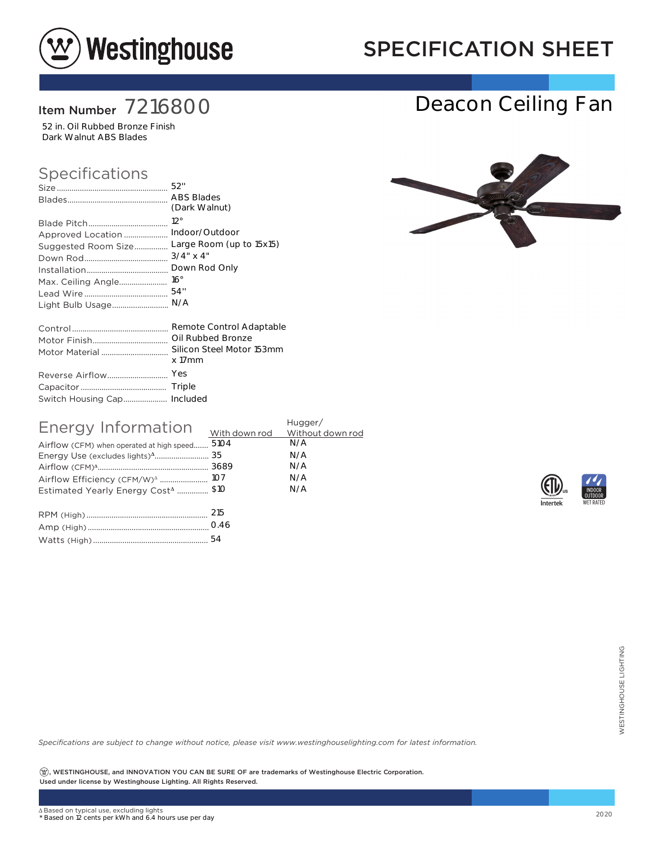

## SPECIFICATION SHEET

### Item Number 7216800

52 in. Oil Rubbed Bronze Finish Dark Walnut ABS Blades

#### Specifications

|                             | <b>ABS Blades</b>         |
|-----------------------------|---------------------------|
|                             | (Dark Walnut)             |
|                             | $12^{\circ}$              |
| Approved Location           | Indoor/Outdoor            |
| Suggested Room Size         | Large Room (up to 15x15)  |
|                             | $3/4$ " x 4"              |
|                             | Down Rod Only             |
|                             | $16^{\circ}$              |
|                             | 54"                       |
| Light Bulb Usage            | N/A                       |
|                             | Remote Control Adaptable  |
|                             | Oil Rubbed Bronze         |
| Motor Material              | Silicon Steel Motor 153mm |
|                             | x 17mm                    |
| Reverse Airflow             | Yes                       |
|                             | Triple                    |
| Switch Housing Cap Included |                           |

| Energy Information<br>Airflow (CFM) when operated at high speed<br>Airflow Efficiency (CFM/W) <sup>A</sup> 107<br>Estimated Yearly Energy Cost <sup>4</sup> \$10 | 5104 | Hugger/<br>N/A<br>N/A<br>N/A<br>N/A<br>N/A |
|------------------------------------------------------------------------------------------------------------------------------------------------------------------|------|--------------------------------------------|
|                                                                                                                                                                  |      |                                            |

| $1.7 - 1.7$ |
|-------------|
|             |



Deacon Ceiling Fan





*Specifications are subject to change without notice, please visit www.westinghouselighting.com for latest information.*

 $\left( \mathfrak{B}\right)$ , WESTINGHOUSE, and INNOVATION YOU CAN BE SURE OF are trademarks of Westinghouse Electric Corporation. Used under license by Westinghouse Lighting. All Rights Reserved. 54<br>Cotice, please visit www.westinghouselighting.com for latest information.<br>2020<br>Support of the trademarks of Westinghouse Electric Corporation.<br>2020